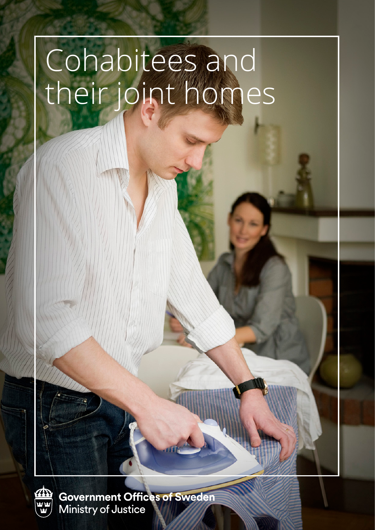# Cohabitees and their joint homes



Government Offices of Sweden<br>Ministry of Justice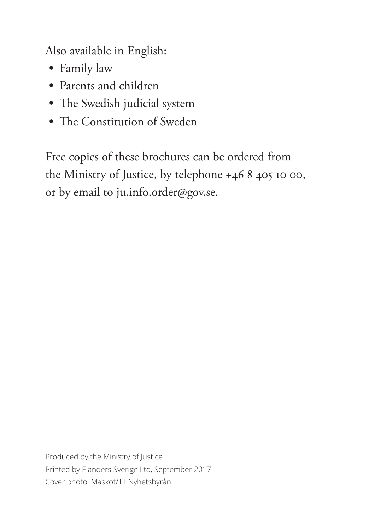Also available in English:

- Family law
- Parents and children
- The Swedish judicial system
- The Constitution of Sweden

Free copies of these brochures can be ordered from the Ministry of Justice, by telephone +46 8 405 10 00, or by email to ju.info.order@gov.se.

Produced by the Ministry of Justice Printed by Elanders Sverige Ltd, September 2017 Cover photo: Maskot/TT Nyhetsbyrån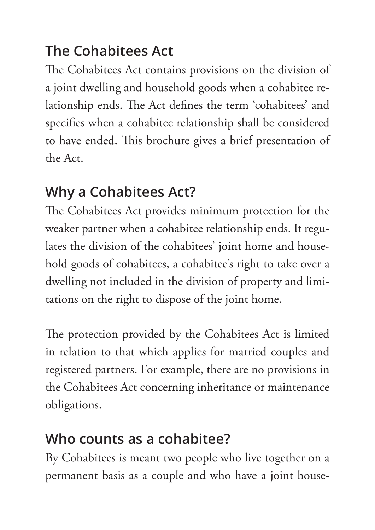## **The Cohabitees Act**

The Cohabitees Act contains provisions on the division of a joint dwelling and household goods when a cohabitee relationship ends. The Act defines the term 'cohabitees' and specifies when a cohabitee relationship shall be considered to have ended. This brochure gives a brief presentation of the Act.

#### **Why a Cohabitees Act?**

The Cohabitees Act provides minimum protection for the weaker partner when a cohabitee relationship ends. It regulates the division of the cohabitees' joint home and household goods of cohabitees, a cohabitee's right to take over a dwelling not included in the division of property and limitations on the right to dispose of the joint home.

The protection provided by the Cohabitees Act is limited in relation to that which applies for married couples and registered partners. For example, there are no provisions in the Cohabitees Act concerning inheritance or maintenance obligations.

#### **Who counts as a cohabitee?**

By Cohabitees is meant two people who live together on a permanent basis as a couple and who have a joint house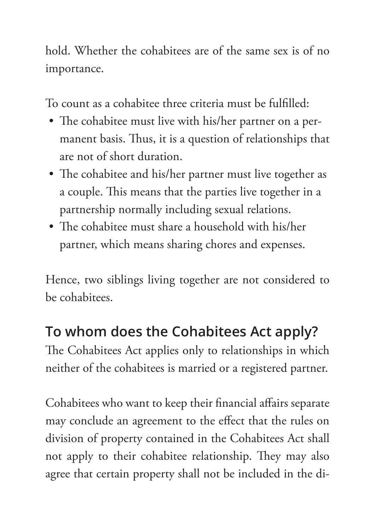hold. Whether the cohabitees are of the same sex is of no importance.

To count as a cohabitee three criteria must be fulfilled:

- The cohabitee must live with his/her partner on a permanent basis. Thus, it is a question of relationships that are not of short duration.
- The cohabitee and his/her partner must live together as a couple. This means that the parties live together in a partnership normally including sexual relations.
- The cohabitee must share a household with his/her partner, which means sharing chores and expenses.

Hence, two siblings living together are not considered to be cohabitees.

## **To whom does the Cohabitees Act apply?**

The Cohabitees Act applies only to relationships in which neither of the cohabitees is married or a registered partner.

Cohabitees who want to keep their financial affairs separate may conclude an agreement to the effect that the rules on division of property contained in the Cohabitees Act shall not apply to their cohabitee relationship. They may also agree that certain property shall not be included in the di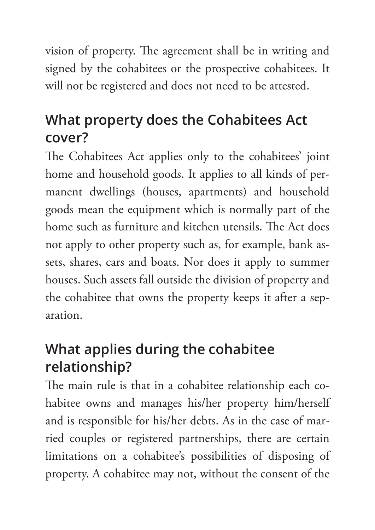vision of property. The agreement shall be in writing and signed by the cohabitees or the prospective cohabitees. It will not be registered and does not need to be attested.

#### **What property does the Cohabitees Act cover?**

The Cohabitees Act applies only to the cohabitees' joint home and household goods. It applies to all kinds of permanent dwellings (houses, apartments) and household goods mean the equipment which is normally part of the home such as furniture and kitchen utensils. The Act does not apply to other property such as, for example, bank assets, shares, cars and boats. Nor does it apply to summer houses. Such assets fall outside the division of property and the cohabitee that owns the property keeps it after a separation.

### **What applies during the cohabitee relationship?**

The main rule is that in a cohabitee relationship each cohabitee owns and manages his/her property him/herself and is responsible for his/her debts. As in the case of married couples or registered partnerships, there are certain limitations on a cohabitee's possibilities of disposing of property. A cohabitee may not, without the consent of the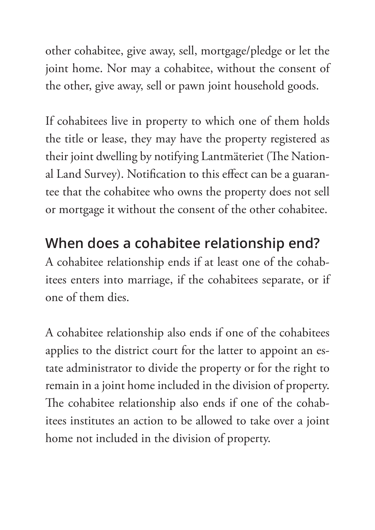other cohabitee, give away, sell, mortgage/pledge or let the joint home. Nor may a cohabitee, without the consent of the other, give away, sell or pawn joint household goods.

If cohabitees live in property to which one of them holds the title or lease, they may have the property registered as their joint dwelling by notifying Lantmäteriet (The National Land Survey). Notification to this effect can be a guarantee that the cohabitee who owns the property does not sell or mortgage it without the consent of the other cohabitee.

#### **When does a cohabitee relationship end?**

A cohabitee relationship ends if at least one of the cohabitees enters into marriage, if the cohabitees separate, or if one of them dies.

A cohabitee relationship also ends if one of the cohabitees applies to the district court for the latter to appoint an estate administrator to divide the property or for the right to remain in a joint home included in the division of property. The cohabitee relationship also ends if one of the cohabitees institutes an action to be allowed to take over a joint home not included in the division of property.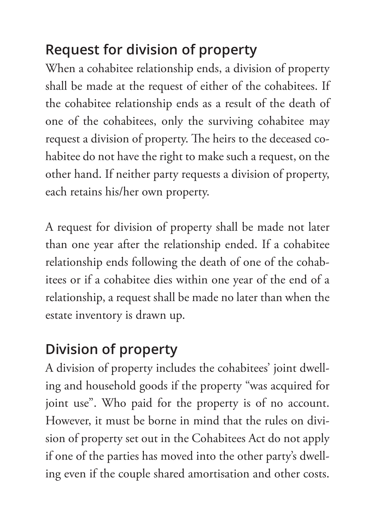## **Request for division of property**

When a cohabitee relationship ends, a division of property shall be made at the request of either of the cohabitees. If the cohabitee relationship ends as a result of the death of one of the cohabitees, only the surviving cohabitee may request a division of property. The heirs to the deceased cohabitee do not have the right to make such a request, on the other hand. If neither party requests a division of property, each retains his/her own property.

A request for division of property shall be made not later than one year after the relationship ended. If a cohabitee relationship ends following the death of one of the cohabitees or if a cohabitee dies within one year of the end of a relationship, a request shall be made no later than when the estate inventory is drawn up.

### **Division of property**

A division of property includes the cohabitees' joint dwelling and household goods if the property "was acquired for joint use". Who paid for the property is of no account. However, it must be borne in mind that the rules on division of property set out in the Cohabitees Act do not apply if one of the parties has moved into the other party's dwelling even if the couple shared amortisation and other costs.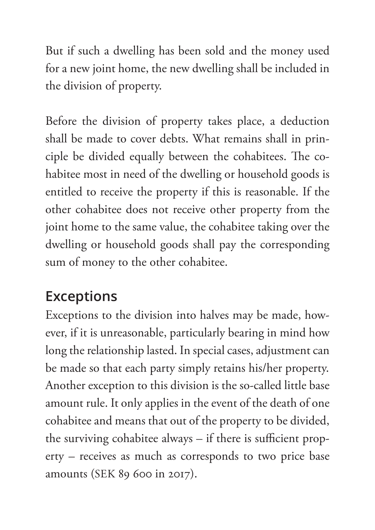But if such a dwelling has been sold and the money used for a new joint home, the new dwelling shall be included in the division of property.

Before the division of property takes place, a deduction shall be made to cover debts. What remains shall in principle be divided equally between the cohabitees. The cohabitee most in need of the dwelling or household goods is entitled to receive the property if this is reasonable. If the other cohabitee does not receive other property from the joint home to the same value, the cohabitee taking over the dwelling or household goods shall pay the corresponding sum of money to the other cohabitee.

#### **Exceptions**

Exceptions to the division into halves may be made, however, if it is unreasonable, particularly bearing in mind how long the relationship lasted. In special cases, adjustment can be made so that each party simply retains his/her property. Another exception to this division is the so-called little base amount rule. It only applies in the event of the death of one cohabitee and means that out of the property to be divided, the surviving cohabitee always – if there is sufficient property – receives as much as corresponds to two price base amounts (SEK 89 600 in 2017).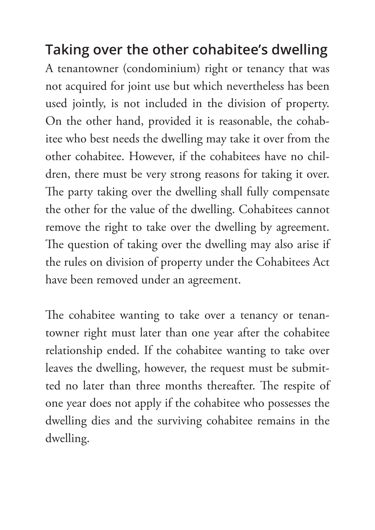**Taking over the other cohabitee's dwelling** A tenantowner (condominium) right or tenancy that was not acquired for joint use but which nevertheless has been used jointly, is not included in the division of property. On the other hand, provided it is reasonable, the cohabitee who best needs the dwelling may take it over from the other cohabitee. However, if the cohabitees have no children, there must be very strong reasons for taking it over. The party taking over the dwelling shall fully compensate the other for the value of the dwelling. Cohabitees cannot remove the right to take over the dwelling by agreement. The question of taking over the dwelling may also arise if the rules on division of property under the Cohabitees Act have been removed under an agreement.

The cohabitee wanting to take over a tenancy or tenantowner right must later than one year after the cohabitee relationship ended. If the cohabitee wanting to take over leaves the dwelling, however, the request must be submitted no later than three months thereafter. The respite of one year does not apply if the cohabitee who possesses the dwelling dies and the surviving cohabitee remains in the dwelling.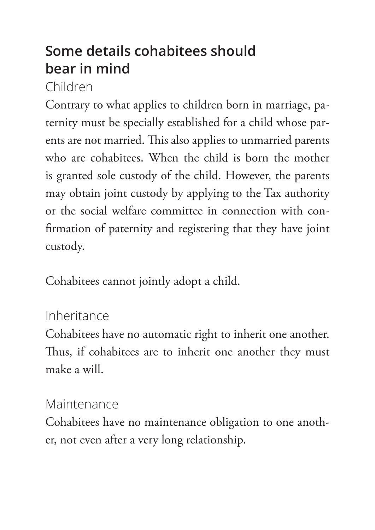#### **Some details cohabitees should bear in mind**

#### Children

Contrary to what applies to children born in marriage, paternity must be specially established for a child whose parents are not married. This also applies to unmarried parents who are cohabitees. When the child is born the mother is granted sole custody of the child. However, the parents may obtain joint custody by applying to the Tax authority or the social welfare committee in connection with confirmation of paternity and registering that they have joint custody.

Cohabitees cannot jointly adopt a child.

#### Inheritance

Cohabitees have no automatic right to inherit one another. Thus, if cohabitees are to inherit one another they must make a will.

#### **Maintenance**

Cohabitees have no maintenance obligation to one another, not even after a very long relationship.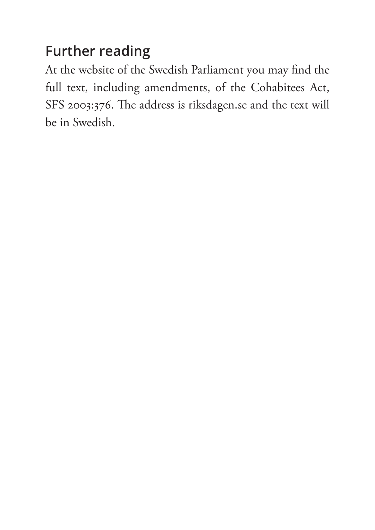### **Further reading**

At the website of the Swedish Parliament you may find the full text, including amendments, of the Cohabitees Act, SFS 2003:376. The address is riksdagen.se and the text will be in Swedish.